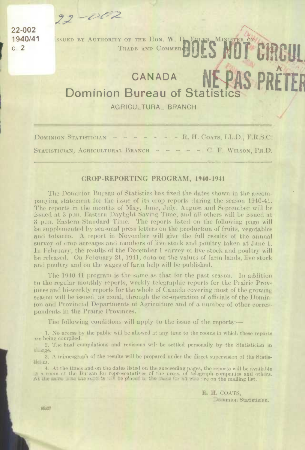$22 - 002$ 1940/41  $c.2$ 

 $22 - 002$ 

SSUED BY AUTHORITY OF THE HON. W. D. EULER, MINISTER OF CIRCUL TRADE AND COMMERCE

## CANADA **Dominion Bureau of Statistics**

**AGRICULTURAL BRANCH** 

 $-$  - R. H. COATS, LL.D., F.R.S.C. DOMINION STATISTICIAN STATISTICIAN, AGRICULTURAL BRANCH - $- - -$  C. F. WILSON, PH.D.

## **CROP-REPORTING PROGRAM, 1940-1941**

The Dominion Bureau of Statistics has fixed the dates shown in the accompanying statement for the issue of its crop reports during the season 1940-41. The reports in the months of May, June, July, August and September will be issued at 3 p.m. Eastern Daylight Saving Time, and all others will be issued at 3 p.m. Eastern Standard Time. The reports listed on the following page will be supplemented by seasonal press letters on the production of fruits, vegetables and tobacco. A report in November will give the full results of the annual survey of crop acreages and numbers of live stock and poultry taken at June 1. In February, the results of the December 1 survey of live stock and poultry will be released. On February 21, 1941, data on the values of farm lands, live stock and poultry and on the wages of farm help will be published.

The 1940-41 program is the same as that for the past season. In addition to the regular monthly reports, weekly telegraphic reports for the Prairie Provinces and bi-weekly reports for the whole of Canada covering most of the growing season will be issued, as usual, through the co-operation of officials of the Dominion and Provincial Departments of Agriculture and of a number of other correspondents in the Prairie Provinces.

The following conditions will apply to the issue of the reports:—

1. No access by the public will be allowed at any time to the rooms in which these reports are being compiled.

2. The final compilations and revisions will be settled personally by the Statistician in clarge.

3. A mimeograph of the results will be prepared under the direct supervision of the Statis-Heian.

4. At the times and on the dates listed on the succeeding pages, the reports will be available in a room at the Bureau for representatives of the press, of telegraph companies and others.<br>At the same time the reports will be planed in the mails for all who are on the mailing list.

> R. H. COATS. Dominion Statistician.

95627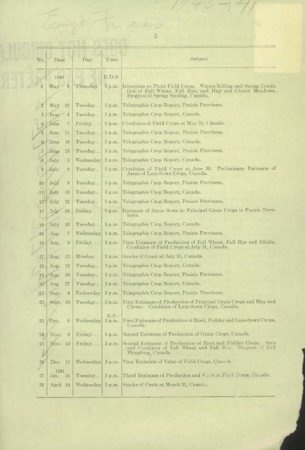| No.             | Date                               | Day                   | Time           | Subject                                                                                                                                                               |
|-----------------|------------------------------------|-----------------------|----------------|-----------------------------------------------------------------------------------------------------------------------------------------------------------------------|
|                 | 1940                               |                       | E.D.S.         |                                                                                                                                                                       |
| $\mathbf{1}$    | May<br>$\boldsymbol{\theta}$       | Thursday              | 3 p.m.         | Intentions to Plant Field Crops. Winter-Killing and Spring Condi-<br>tion of Fall Wheat, Fall Rye, and Hay and Clover Meadows.<br>Progress of Spring Seeding, Canada. |
| $\overline{2}$  | May<br>28                          | Tuesday               |                | 3 p.m. Telegraphic Crop Report, Prairie Provinces.                                                                                                                    |
| 3               | Juno-<br>$\frac{4}{3}$             | Tuesday               | 3 p.m.         | Telegraphic Crop Report, Canada.                                                                                                                                      |
| 4.              | June<br>$\sqrt{7}$                 | Friday                |                | 3 p.m. Condition of Field Crops at May 31. Canada.                                                                                                                    |
| 5               | June<br>11                         | Tuesday               | $3$ p.m.       | Telegraphic Crop Report, Prairie Provinces.                                                                                                                           |
| $6-$            | ∤June<br>18                        | Tuesday               | 3 p.m.         | Telegraphic Crop Report, Canada.                                                                                                                                      |
| 7               | June<br>25                         | Tuesday               | 3 p.m.         | Telegraphic Crop Report, Prairie Provinces.                                                                                                                           |
| 8               | July<br>3                          | Wednesday             | 3 p.m.         | Telegraphic Crop Report, Canada.                                                                                                                                      |
| 9               | July<br>$\boldsymbol{\vartheta}$   | Tuesday               | 3 p.m.         | Preliminary Estimate of<br>Condition of Field Crops at June 30.<br>Areas of Late-Sown Crops, Canada.                                                                  |
| 10              | $\boldsymbol{\theta}$<br>July      | Tuesday               | 3 p.m.         | Telegraphic Crop Report, Prairie Provinces.                                                                                                                           |
| 11              | July<br>16                         | Tuesday               | 3 p.m.         | Telegraphic Crop Report, Canada.                                                                                                                                      |
| $12 \,$         | July<br>23                         | Tuesday               | 3 p.m.         | Telegraphic Crop Report, Prairie Provinces.                                                                                                                           |
| 13              | 26<br>July                         | Finday                | 3 p.m.         | Estimate of Areas Sown to Principal Grain Crops in Prairio Prov-<br>inces.                                                                                            |
| 14              | July<br>30                         | Tuesday               | 3 p.m.         | Telegraphic Crop Report, Canada.                                                                                                                                      |
| 15              | $\overline{\mathcal{U}}$<br>Aug.   | Wednesday $3 p.m.$    |                | Telegraphic Crop Report, Prairie Provinces.                                                                                                                           |
| 16              | $\boldsymbol{9}$<br>Aug.           | Friday                | 3 p.m.         | First Estimate of Production of Fall Wheat, Fall Rye and Alfalfa.<br>Condition of Field Crops at July 31, Canada.                                                     |
| 17              | 12<br>Aug.                         | Monday                |                | 3 p.m. Stocks of Grain at July 31, Canada.                                                                                                                            |
| 18              | Aug.<br>13                         | Tuesday               | 3 p.m.         | Telegraphic Crop Report, Canada.                                                                                                                                      |
| 19              | Aug.<br>20                         | Tuesday               | 3 p.m.         | Telegraphic Crop Report, Prairie Provinces.                                                                                                                           |
| 20              | 27<br>Aug.                         | Tuesday               | 3 p.m.         | Telegraphic Crop Report, Canada.                                                                                                                                      |
| 21              | Sept.<br>$\frac{1}{2}$             | Wednesday             | 3 p.m.         | Telegraphic Crop Report, Prairie Provinces.                                                                                                                           |
| 22 <sub>1</sub> | Step t.<br>10                      | Tuesday               | 3 p.m.         | First Estimate of Production of Principal Grain Crops and Hay and<br>Condition of Late-Sown Crops, Canada.<br>Clover.                                                 |
| 23              | Oct.<br>$\boldsymbol{\mathcal{G}}$ | Wednesday             | E.S.<br>3 p.m. | First Estimate of Production of Root, Fodder and Late-Sown Crops,<br>Canada.                                                                                          |
| 24              | Nov.<br>8                          | Friday                | 3 p.m.         | Second Estimate of Production of Grain Crops, Canada.                                                                                                                 |
| $25\,$          | Nov. 15                            | $\text{Friday} \dots$ |                | 3 p.m. Second Estimate of Production of Root and Fodder Crops. Area<br>and Condition of Fall Wheat and Fall Rye. Progress of Fall<br>Ploughing, Canada.               |
| $2\beta$        | Dec. 11                            | Wednesday $3 p.m.$    |                | First Estimate of Value of Field Crops, Canada.                                                                                                                       |
|                 | 1941                               |                       |                |                                                                                                                                                                       |
| 27              | Jan. 21                            | Tuesday               | 3 p.m.         | Third Estimate of Production and Value of Field Crops, Canada.                                                                                                        |
| 28              | April 16                           | Wednesday             | $3$ p.m.       | Stocks of Grain at March 31, Canada.                                                                                                                                  |

 $\overline{2}$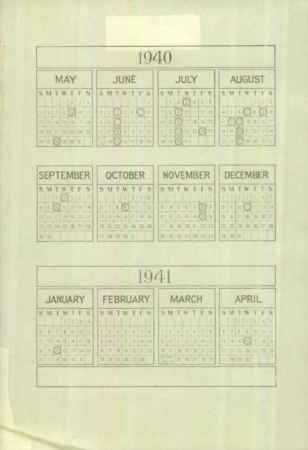| <b>JUNE</b>    | <b>JULY</b><br><b>AUGUST</b>                                                                                      |              |
|----------------|-------------------------------------------------------------------------------------------------------------------|--------------|
|                |                                                                                                                   |              |
| - S            | S<br>S<br>S                                                                                                       | S            |
|                | 5<br>2(3)<br>6<br>$\overline{4}$                                                                                  | 1 2 3        |
| 8<br>(7)       | 0 <br>$4 -$<br>7<br>$5\overline{)}$<br>$\left\{ \cdot \right\}$<br>6(7)<br> 2<br>8<br>13<br>$\left(9\right)$<br>8 | 10<br>(9)    |
| 14 <br>15      | $14$ $15$<br>17<br>18<br> 19 <br>20<br>$\frac{1}{2}$<br>(12)(13)<br>$\left\vert \omega \right\rangle$<br>15(6)    | $11 - 17$    |
| 14 20 21<br>22 | $(20)$ 21 22<br>21 22 23 24 25 26<br>27<br>15<br>19                                                               | $2 - 24$     |
| 29<br>28       | $25 \, 26$<br>$28   29 \text{ } (30) \text{ } 31$                                                                 |              |
|                |                                                                                                                   | 28129   3131 |

| <b>ISEPTEMBER</b> |                      |  |  |  |  |                       | <b>OCTOBER</b>                   |  |  |  | <b>NOVEMBER</b>                               |  |  |                         | <b>DECEMBER</b> |                      |  |  |  |  |  |  |
|-------------------|----------------------|--|--|--|--|-----------------------|----------------------------------|--|--|--|-----------------------------------------------|--|--|-------------------------|-----------------|----------------------|--|--|--|--|--|--|
|                   | SMTWTFS              |  |  |  |  |                       | SMTWTFS                          |  |  |  | SMIWTFS                                       |  |  |                         |                 | SMTWTFS              |  |  |  |  |  |  |
|                   | 123(4)567            |  |  |  |  |                       | 12345                            |  |  |  | $\left  \begin{array}{c} \end{array} \right $ |  |  |                         |                 | 1 2 3 4 5 5 7        |  |  |  |  |  |  |
|                   |                      |  |  |  |  | $8$ 9 (0) 11 12 13 14 | $6$ 7 8 9 10 11 12               |  |  |  |                                               |  |  | 3   4   5   6   7 (8) 9 |                 | $8$ 9 10 11 12 3 14  |  |  |  |  |  |  |
|                   | 15 16 17 18 19 20 21 |  |  |  |  |                       | 13   14   15   16   17   18   19 |  |  |  | $10$   11   12   13   14 $(15)$ 16            |  |  |                         |                 | 15 6 7 8 9 20 21     |  |  |  |  |  |  |
|                   |                      |  |  |  |  | 22 23 24 25 26 27 28  | 20 21 22 23 24 25 26             |  |  |  |                                               |  |  | 17 18 19 20 21 22 23    |                 | 22 23 24 25 26 27 28 |  |  |  |  |  |  |
|                   | $29 \mid 30$         |  |  |  |  |                       | 27 28 29 30 31                   |  |  |  |                                               |  |  | 24 25 26 27 28 29 30    |                 | 29   30   31         |  |  |  |  |  |  |

|    | $Q_{4}$           |                |              |                |                |    |                |                 |                |    |     |                |    |  |                                 |                |                |                |              |              |               |                 |                |              |                   |                |       |    |
|----|-------------------|----------------|--------------|----------------|----------------|----|----------------|-----------------|----------------|----|-----|----------------|----|--|---------------------------------|----------------|----------------|----------------|--------------|--------------|---------------|-----------------|----------------|--------------|-------------------|----------------|-------|----|
|    | <b>JANUARY</b>    |                |              |                |                |    |                | <b>FEBRUARY</b> |                |    |     |                |    |  |                                 |                |                |                | <b>MARCH</b> |              |               | <b>APRIL</b>    |                |              |                   |                |       |    |
| S. | M T               |                | W            | TF             |                | S  | S.             |                 | <b>MT</b>      | W  | TFS |                |    |  | S                               | M              | $\blacksquare$ | W              | T F          |              | S             |                 | S M            | $\bigoplus$  | W                 | TF             |       | S  |
|    |                   |                | $\mathbb{L}$ | $\overline{c}$ | $\overline{3}$ | 4  |                |                 |                |    |     |                |    |  |                                 |                |                |                |              |              | $\frac{1}{2}$ |                 |                | $\mathbb{Z}$ | 2 <sup>1</sup>    | $\overline{3}$ |       | 45 |
| 5  | 6                 | $\overline{7}$ | 8            | $\overline{9}$ | $ 10\rangle$   |    | $\overline{c}$ | $\overline{3}$  | $\overline{4}$ | 5  | 6   | $\overline{7}$ | 8  |  | $\mathbb{R}^2$                  | $\overline{3}$ | $\frac{1}{2}$  | 5 <sup>1</sup> | 6            | $\mathbb{T}$ | $\beta$       | $6\overline{6}$ | $\overline{7}$ | $\theta$     | $\hbox{\large g}$ | 10             | 11:12 |    |
|    | 12   13   14   15 |                |              | 16             | 17             | 18 | $\overline{9}$ | 10              | $\mathbf{H}$   | 12 | 3   | 4              | 15 |  | $\mathcal{G}$                   | $ 0\rangle$    | 1              |                | 12   13      | 4            | 15            | 13              | 14             | 15           | (16)              | $1.7 -$        | 18    | 19 |
| 19 | 20 <sub>2</sub>   | (21)           | 22           | 23             | 24             | 25 | 6              | 17              | 8              | 19 | 20  | 21             | 22 |  | 16                              | 7              | 8              | 19             | 20           | 2            | 22            |                 | 20   21        | 22           |                   | 23:20          | 25    | 26 |
|    | 26   27           | 28 29          |              | 30             | 31             |    |                | 23 24 25        |                | 26 | 27  | 28             |    |  | $\frac{23}{30}$ $\frac{24}{31}$ |                | 25             |                | 26   27   28 |              | 29            |                 |                |              | 27   28   29   30 |                |       |    |
|    |                   |                |              |                |                |    |                |                 |                |    |     |                |    |  |                                 |                |                |                |              |              |               |                 |                |              |                   |                |       |    |